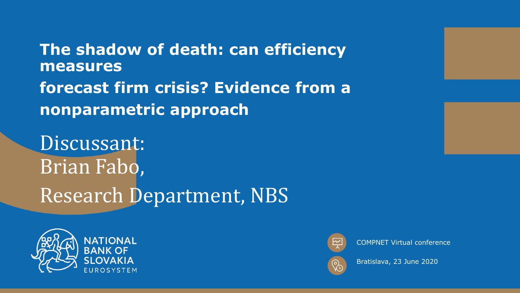**The shadow of death: can efficiency measures forecast firm crisis? Evidence from a nonparametric approach**

Discussant: Brian Fabo, Research Department, NBS





COMPNET Virtual conference



Bratislava, 23 June 2020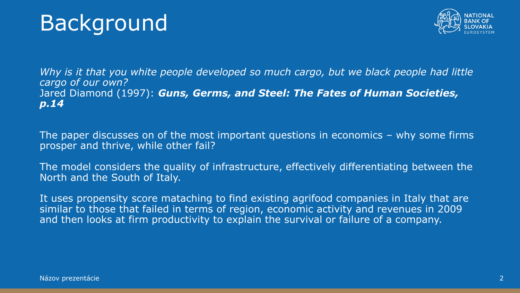# Background



*Why is it that you white people developed so much cargo, but we black people had little cargo of our own?* Jared Diamond (1997): *Guns, Germs, and Steel: The Fates of Human Societies, p.14*

The paper discusses on of the most important questions in economics – why some firms prosper and thrive, while other fail?

The model considers the quality of infrastructure, effectively differentiating between the North and the South of Italy.

It uses propensity score mataching to find existing agrifood companies in Italy that are similar to those that failed in terms of region, economic activity and revenues in 2009 and then looks at firm productivity to explain the survival or failure of a company.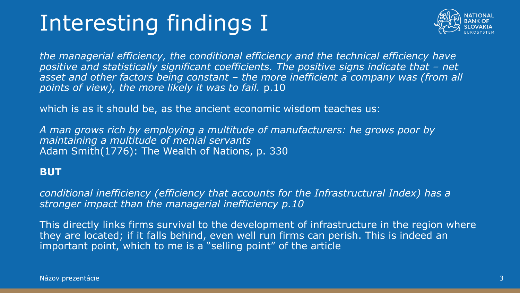# Interesting findings I



*the managerial efficiency, the conditional efficiency and the technical efficiency have positive and statistically significant coefficients. The positive signs indicate that – net asset and other factors being constant – the more inefficient a company was (from all points of view), the more likely it was to fail.* p.10

which is as it should be, as the ancient economic wisdom teaches us:

*A man grows rich by employing a multitude of manufacturers: he grows poor by maintaining a multitude of menial servants*  Adam Smith(1776): The Wealth of Nations, p. 330

#### **BUT**

*conditional inefficiency (efficiency that accounts for the Infrastructural Index) has a stronger impact than the managerial inefficiency p.10*

This directly links firms survival to the development of infrastructure in the region where they are located; if it falls behind, even well run firms can perish. This is indeed an important point, which to me is a "selling point" of the article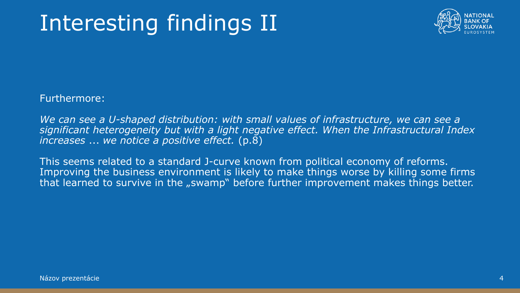# Interesting findings II



Furthermore:

We can see a U-shaped distribution: with small values of infrastructure, we can see a *significant heterogeneity but with a light negative effect. When the Infrastructural Index increases* ... *we notice a positive effect.* (p.8)

This seems related to a standard J-curve known from political economy of reforms. Improving the business environment is likely to make things worse by killing some firms that learned to survive in the "swamp" before further improvement makes things better.